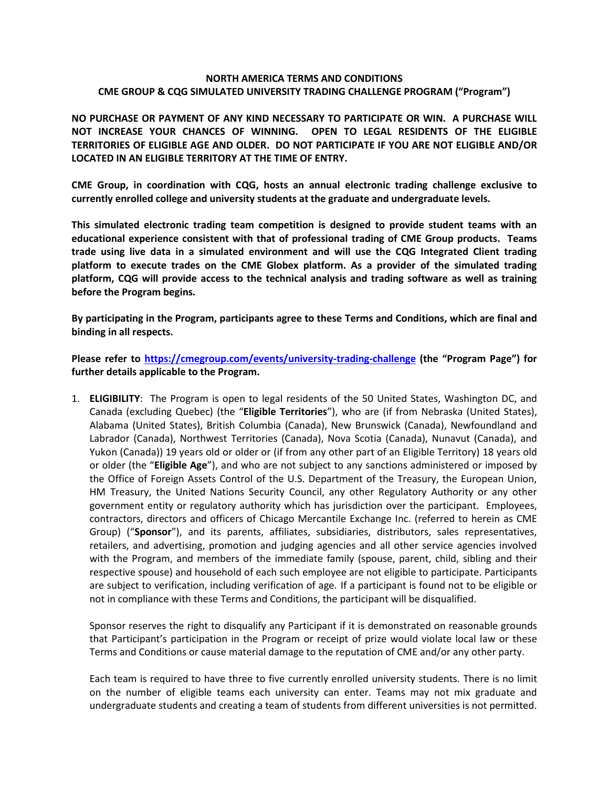#### **NORTH AMERICA TERMS AND CONDITIONS CME GROUP & CQG SIMULATED UNIVERSITY TRADING CHALLENGE PROGRAM ("Program")**

**NO PURCHASE OR PAYMENT OF ANY KIND NECESSARY TO PARTICIPATE OR WIN. A PURCHASE WILL NOT INCREASE YOUR CHANCES OF WINNING. OPEN TO LEGAL RESIDENTS OF THE ELIGIBLE TERRITORIES OF ELIGIBLE AGE AND OLDER. DO NOT PARTICIPATE IF YOU ARE NOT ELIGIBLE AND/OR LOCATED IN AN ELIGIBLE TERRITORY AT THE TIME OF ENTRY.**

**CME Group, in coordination with CQG, hosts an annual electronic trading challenge exclusive to currently enrolled college and university students at the graduate and undergraduate levels.** 

**This simulated electronic trading team competition is designed to provide student teams with an educational experience consistent with that of professional trading of CME Group products. Teams trade using live data in a simulated environment and will use the CQG Integrated Client trading platform to execute trades on the CME Globex platform. As a provider of the simulated trading platform, CQG will provide access to the technical analysis and trading software as well as training before the Program begins.**

**By participating in the Program, participants agree to these Terms and Conditions, which are final and binding in all respects.** 

**Please refer to<https://cmegroup.com/events/university-trading-challenge> (the "Program Page") for further details applicable to the Program.**

1. **ELIGIBILITY**: The Program is open to legal residents of the 50 United States, Washington DC, and Canada (excluding Quebec) (the "**Eligible Territories**"), who are (if from Nebraska (United States), Alabama (United States), British Columbia (Canada), New Brunswick (Canada), Newfoundland and Labrador (Canada), Northwest Territories (Canada), Nova Scotia (Canada), Nunavut (Canada), and Yukon (Canada)) 19 years old or older or (if from any other part of an Eligible Territory) 18 years old or older (the "**Eligible Age**"), and who are not subject to any sanctions administered or imposed by the Office of Foreign Assets Control of the U.S. Department of the Treasury, the European Union, HM Treasury, the United Nations Security Council, any other Regulatory Authority or any other government entity or regulatory authority which has jurisdiction over the participant. Employees, contractors, directors and officers of Chicago Mercantile Exchange Inc. (referred to herein as CME Group) ("**Sponsor**"), and its parents, affiliates, subsidiaries, distributors, sales representatives, retailers, and advertising, promotion and judging agencies and all other service agencies involved with the Program, and members of the immediate family (spouse, parent, child, sibling and their respective spouse) and household of each such employee are not eligible to participate. Participants are subject to verification, including verification of age. If a participant is found not to be eligible or not in compliance with these Terms and Conditions, the participant will be disqualified.

Sponsor reserves the right to disqualify any Participant if it is demonstrated on reasonable grounds that Participant's participation in the Program or receipt of prize would violate local law or these Terms and Conditions or cause material damage to the reputation of CME and/or any other party.

Each team is required to have three to five currently enrolled university students. There is no limit on the number of eligible teams each university can enter. Teams may not mix graduate and undergraduate students and creating a team of students from different universities is not permitted.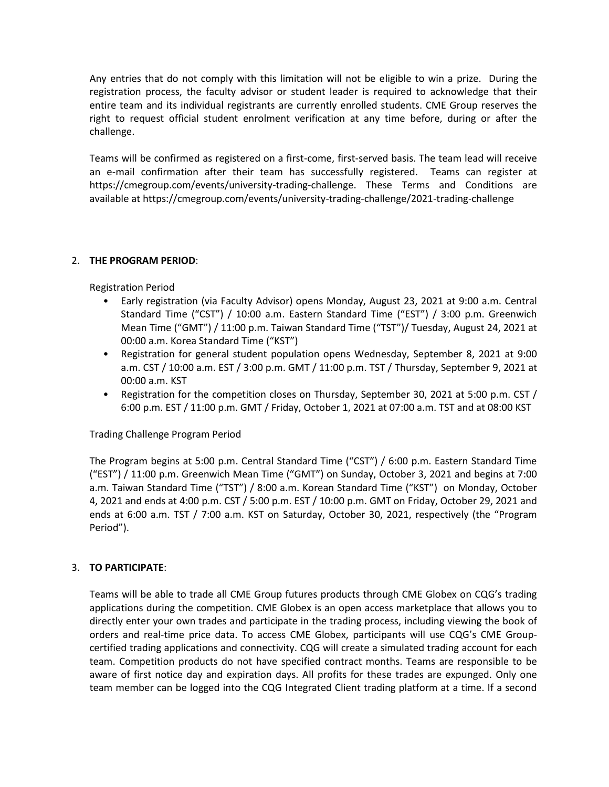Any entries that do not comply with this limitation will not be eligible to win a prize. During the registration process, the faculty advisor or student leader is required to acknowledge that their entire team and its individual registrants are currently enrolled students. CME Group reserves the right to request official student enrolment verification at any time before, during or after the challenge.

Teams will be confirmed as registered on a first-come, first-served basis. The team lead will receive an e-mail confirmation after their team has successfully registered. Teams can register at https://cmegroup.com/events/university-trading-challenge. These Terms and Conditions are available at https://cmegroup.com/events/university-trading-challenge/2021-trading-challenge

# 2. **THE PROGRAM PERIOD**:

Registration Period

- Early registration (via Faculty Advisor) opens Monday, August 23, 2021 at 9:00 a.m. Central Standard Time ("CST") / 10:00 a.m. Eastern Standard Time ("EST") / 3:00 p.m. Greenwich Mean Time ("GMT") / 11:00 p.m. Taiwan Standard Time ("TST")/ Tuesday, August 24, 2021 at 00:00 a.m. Korea Standard Time ("KST")
- Registration for general student population opens Wednesday, September 8, 2021 at 9:00 a.m. CST / 10:00 a.m. EST / 3:00 p.m. GMT / 11:00 p.m. TST / Thursday, September 9, 2021 at 00:00 a.m. KST
- Registration for the competition closes on Thursday, September 30, 2021 at 5:00 p.m. CST / 6:00 p.m. EST / 11:00 p.m. GMT / Friday, October 1, 2021 at 07:00 a.m. TST and at 08:00 KST

## Trading Challenge Program Period

The Program begins at 5:00 p.m. Central Standard Time ("CST") / 6:00 p.m. Eastern Standard Time ("EST") / 11:00 p.m. Greenwich Mean Time ("GMT") on Sunday, October 3, 2021 and begins at 7:00 a.m. Taiwan Standard Time ("TST") / 8:00 a.m. Korean Standard Time ("KST") on Monday, October 4, 2021 and ends at 4:00 p.m. CST / 5:00 p.m. EST / 10:00 p.m. GMT on Friday, October 29, 2021 and ends at 6:00 a.m. TST / 7:00 a.m. KST on Saturday, October 30, 2021, respectively (the "Program Period").

## 3. **TO PARTICIPATE**:

Teams will be able to trade all CME Group futures products through CME Globex on CQG's trading applications during the competition. CME Globex is an open access marketplace that allows you to directly enter your own trades and participate in the trading process, including viewing the book of orders and real-time price data. To access CME Globex, participants will use CQG's CME Groupcertified trading applications and connectivity. CQG will create a simulated trading account for each team. Competition products do not have specified contract months. Teams are responsible to be aware of first notice day and expiration days. All profits for these trades are expunged. Only one team member can be logged into the CQG Integrated Client trading platform at a time. If a second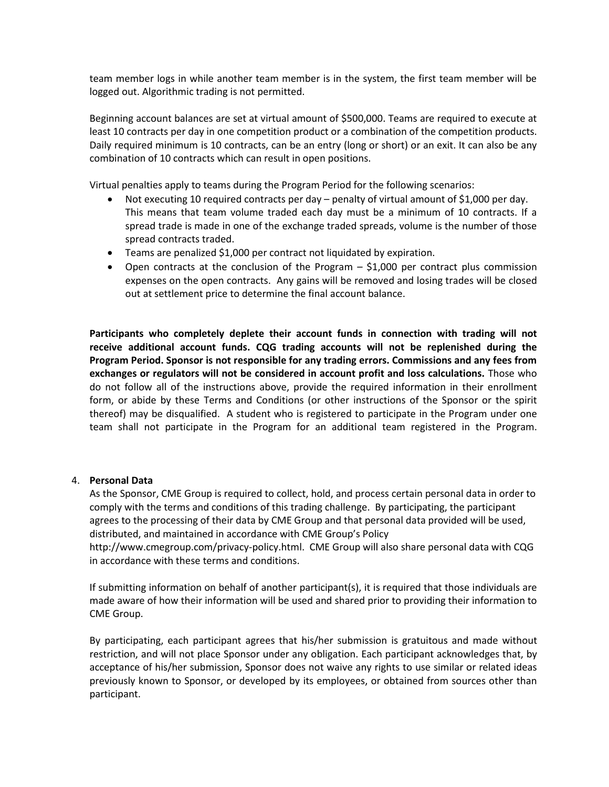team member logs in while another team member is in the system, the first team member will be logged out. Algorithmic trading is not permitted.

Beginning account balances are set at virtual amount of \$500,000. Teams are required to execute at least 10 contracts per day in one competition product or a combination of the competition products. Daily required minimum is 10 contracts, can be an entry (long or short) or an exit. It can also be any combination of 10 contracts which can result in open positions.

Virtual penalties apply to teams during the Program Period for the following scenarios:

- Not executing 10 required contracts per day penalty of virtual amount of \$1,000 per day. This means that team volume traded each day must be a minimum of 10 contracts. If a spread trade is made in one of the exchange traded spreads, volume is the number of those spread contracts traded.
- Teams are penalized \$1,000 per contract not liquidated by expiration.
- Open contracts at the conclusion of the Program \$1,000 per contract plus commission expenses on the open contracts. Any gains will be removed and losing trades will be closed out at settlement price to determine the final account balance.

**Participants who completely deplete their account funds in connection with trading will not receive additional account funds. CQG trading accounts will not be replenished during the Program Period. Sponsor is not responsible for any trading errors. Commissions and any fees from exchanges or regulators will not be considered in account profit and loss calculations.** Those who do not follow all of the instructions above, provide the required information in their enrollment form, or abide by these Terms and Conditions (or other instructions of the Sponsor or the spirit thereof) may be disqualified. A student who is registered to participate in the Program under one team shall not participate in the Program for an additional team registered in the Program.

## 4. **Personal Data**

As the Sponsor, CME Group is required to collect, hold, and process certain personal data in order to comply with the terms and conditions of this trading challenge. By participating, the participant agrees to the processing of their data by CME Group and that personal data provided will be used, distributed, and maintained in accordance with CME Group's Policy

http://www.cmegroup.com/privacy-policy.html. CME Group will also share personal data with CQG in accordance with these terms and conditions.

If submitting information on behalf of another participant(s), it is required that those individuals are made aware of how their information will be used and shared prior to providing their information to CME Group.

By participating, each participant agrees that his/her submission is gratuitous and made without restriction, and will not place Sponsor under any obligation. Each participant acknowledges that, by acceptance of his/her submission, Sponsor does not waive any rights to use similar or related ideas previously known to Sponsor, or developed by its employees, or obtained from sources other than participant.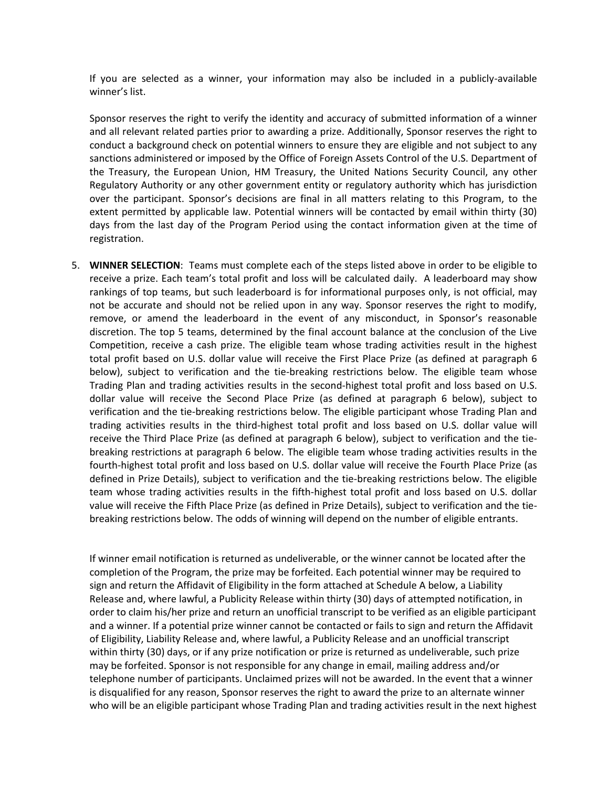If you are selected as a winner, your information may also be included in a publicly-available winner's list.

Sponsor reserves the right to verify the identity and accuracy of submitted information of a winner and all relevant related parties prior to awarding a prize. Additionally, Sponsor reserves the right to conduct a background check on potential winners to ensure they are eligible and not subject to any sanctions administered or imposed by the Office of Foreign Assets Control of the U.S. Department of the Treasury, the European Union, HM Treasury, the United Nations Security Council, any other Regulatory Authority or any other government entity or regulatory authority which has jurisdiction over the participant. Sponsor's decisions are final in all matters relating to this Program, to the extent permitted by applicable law. Potential winners will be contacted by email within thirty (30) days from the last day of the Program Period using the contact information given at the time of registration.

5. **WINNER SELECTION**: Teams must complete each of the steps listed above in order to be eligible to receive a prize. Each team's total profit and loss will be calculated daily. A leaderboard may show rankings of top teams, but such leaderboard is for informational purposes only, is not official, may not be accurate and should not be relied upon in any way. Sponsor reserves the right to modify, remove, or amend the leaderboard in the event of any misconduct, in Sponsor's reasonable discretion. The top 5 teams, determined by the final account balance at the conclusion of the Live Competition, receive a cash prize. The eligible team whose trading activities result in the highest total profit based on U.S. dollar value will receive the First Place Prize (as defined at paragraph 6 below), subject to verification and the tie-breaking restrictions below. The eligible team whose Trading Plan and trading activities results in the second-highest total profit and loss based on U.S. dollar value will receive the Second Place Prize (as defined at paragraph 6 below), subject to verification and the tie-breaking restrictions below. The eligible participant whose Trading Plan and trading activities results in the third-highest total profit and loss based on U.S. dollar value will receive the Third Place Prize (as defined at paragraph 6 below), subject to verification and the tiebreaking restrictions at paragraph 6 below. The eligible team whose trading activities results in the fourth-highest total profit and loss based on U.S. dollar value will receive the Fourth Place Prize (as defined in Prize Details), subject to verification and the tie-breaking restrictions below. The eligible team whose trading activities results in the fifth-highest total profit and loss based on U.S. dollar value will receive the Fifth Place Prize (as defined in Prize Details), subject to verification and the tiebreaking restrictions below. The odds of winning will depend on the number of eligible entrants.

If winner email notification is returned as undeliverable, or the winner cannot be located after the completion of the Program, the prize may be forfeited. Each potential winner may be required to sign and return the Affidavit of Eligibility in the form attached at Schedule A below, a Liability Release and, where lawful, a Publicity Release within thirty (30) days of attempted notification, in order to claim his/her prize and return an unofficial transcript to be verified as an eligible participant and a winner. If a potential prize winner cannot be contacted or fails to sign and return the Affidavit of Eligibility, Liability Release and, where lawful, a Publicity Release and an unofficial transcript within thirty (30) days, or if any prize notification or prize is returned as undeliverable, such prize may be forfeited. Sponsor is not responsible for any change in email, mailing address and/or telephone number of participants. Unclaimed prizes will not be awarded. In the event that a winner is disqualified for any reason, Sponsor reserves the right to award the prize to an alternate winner who will be an eligible participant whose Trading Plan and trading activities result in the next highest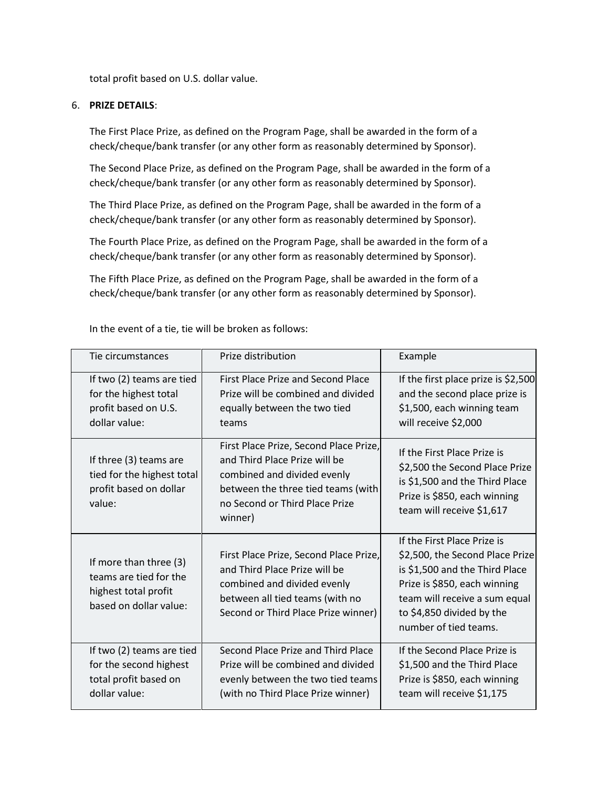total profit based on U.S. dollar value.

#### 6. **PRIZE DETAILS**:

The First Place Prize, as defined on the Program Page, shall be awarded in the form of a check/cheque/bank transfer (or any other form as reasonably determined by Sponsor).

The Second Place Prize, as defined on the Program Page, shall be awarded in the form of a check/cheque/bank transfer (or any other form as reasonably determined by Sponsor).

The Third Place Prize, as defined on the Program Page, shall be awarded in the form of a check/cheque/bank transfer (or any other form as reasonably determined by Sponsor).

The Fourth Place Prize, as defined on the Program Page, shall be awarded in the form of a check/cheque/bank transfer (or any other form as reasonably determined by Sponsor).

The Fifth Place Prize, as defined on the Program Page, shall be awarded in the form of a check/cheque/bank transfer (or any other form as reasonably determined by Sponsor).

| Tie circumstances                                                                                  | Prize distribution                                                                                                                                                                        | Example                                                                                                                                                                                                                 |
|----------------------------------------------------------------------------------------------------|-------------------------------------------------------------------------------------------------------------------------------------------------------------------------------------------|-------------------------------------------------------------------------------------------------------------------------------------------------------------------------------------------------------------------------|
| If two (2) teams are tied<br>for the highest total<br>profit based on U.S.<br>dollar value:        | First Place Prize and Second Place<br>Prize will be combined and divided<br>equally between the two tied<br>teams                                                                         | If the first place prize is \$2,500<br>and the second place prize is<br>\$1,500, each winning team<br>will receive \$2,000                                                                                              |
| If three (3) teams are<br>tied for the highest total<br>profit based on dollar<br>value:           | First Place Prize, Second Place Prize,<br>and Third Place Prize will be<br>combined and divided evenly<br>between the three tied teams (with<br>no Second or Third Place Prize<br>winner) | If the First Place Prize is<br>\$2,500 the Second Place Prize<br>is \$1,500 and the Third Place<br>Prize is \$850, each winning<br>team will receive \$1,617                                                            |
| If more than three (3)<br>teams are tied for the<br>highest total profit<br>based on dollar value: | First Place Prize, Second Place Prize,<br>and Third Place Prize will be<br>combined and divided evenly<br>between all tied teams (with no<br>Second or Third Place Prize winner)          | If the First Place Prize is<br>\$2,500, the Second Place Prize<br>is \$1,500 and the Third Place<br>Prize is \$850, each winning<br>team will receive a sum equal<br>to \$4,850 divided by the<br>number of tied teams. |
| If two (2) teams are tied<br>for the second highest<br>total profit based on<br>dollar value:      | Second Place Prize and Third Place<br>Prize will be combined and divided<br>evenly between the two tied teams<br>(with no Third Place Prize winner)                                       | If the Second Place Prize is<br>\$1,500 and the Third Place<br>Prize is \$850, each winning<br>team will receive \$1,175                                                                                                |

In the event of a tie, tie will be broken as follows: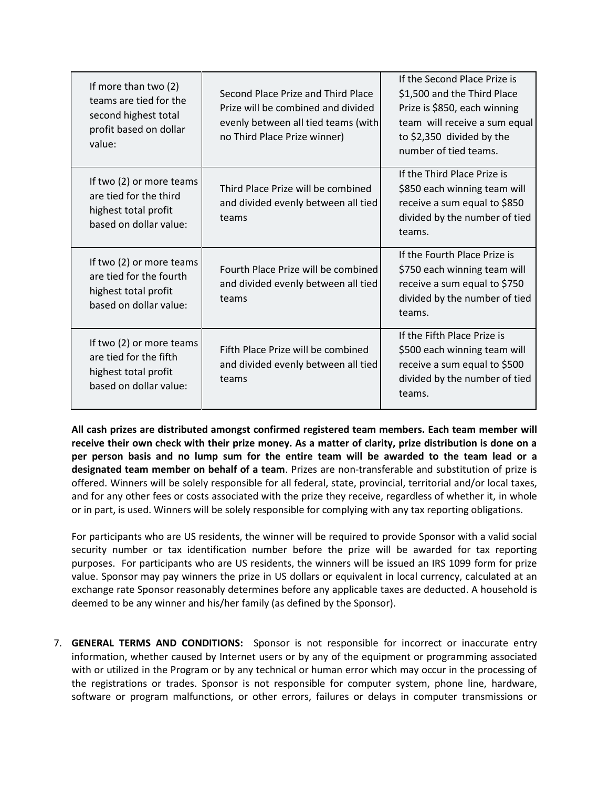| If more than two (2)<br>teams are tied for the<br>second highest total<br>profit based on dollar<br>value: | Second Place Prize and Third Place<br>Prize will be combined and divided<br>evenly between all tied teams (with<br>no Third Place Prize winner) | If the Second Place Prize is<br>\$1,500 and the Third Place<br>Prize is \$850, each winning<br>team will receive a sum equal<br>to \$2,350 divided by the<br>number of tied teams. |
|------------------------------------------------------------------------------------------------------------|-------------------------------------------------------------------------------------------------------------------------------------------------|------------------------------------------------------------------------------------------------------------------------------------------------------------------------------------|
| If two (2) or more teams<br>are tied for the third<br>highest total profit<br>based on dollar value:       | Third Place Prize will be combined<br>and divided evenly between all tied<br>teams                                                              | If the Third Place Prize is<br>\$850 each winning team will<br>receive a sum equal to \$850<br>divided by the number of tied<br>teams.                                             |
| If two (2) or more teams<br>are tied for the fourth<br>highest total profit<br>based on dollar value:      | Fourth Place Prize will be combined<br>and divided evenly between all tied<br>teams                                                             | If the Fourth Place Prize is<br>\$750 each winning team will<br>receive a sum equal to \$750<br>divided by the number of tied<br>teams.                                            |
| If two (2) or more teams<br>are tied for the fifth<br>highest total profit<br>based on dollar value:       | Fifth Place Prize will be combined<br>and divided evenly between all tied<br>teams                                                              | If the Fifth Place Prize is<br>\$500 each winning team will<br>receive a sum equal to \$500<br>divided by the number of tied<br>teams.                                             |

**All cash prizes are distributed amongst confirmed registered team members. Each team member will receive their own check with their prize money. As a matter of clarity, prize distribution is done on a per person basis and no lump sum for the entire team will be awarded to the team lead or a designated team member on behalf of a team**. Prizes are non-transferable and substitution of prize is offered. Winners will be solely responsible for all federal, state, provincial, territorial and/or local taxes, and for any other fees or costs associated with the prize they receive, regardless of whether it, in whole or in part, is used. Winners will be solely responsible for complying with any tax reporting obligations.

For participants who are US residents, the winner will be required to provide Sponsor with a valid social security number or tax identification number before the prize will be awarded for tax reporting purposes. For participants who are US residents, the winners will be issued an IRS 1099 form for prize value. Sponsor may pay winners the prize in US dollars or equivalent in local currency, calculated at an exchange rate Sponsor reasonably determines before any applicable taxes are deducted. A household is deemed to be any winner and his/her family (as defined by the Sponsor).

7. **GENERAL TERMS AND CONDITIONS:** Sponsor is not responsible for incorrect or inaccurate entry information, whether caused by Internet users or by any of the equipment or programming associated with or utilized in the Program or by any technical or human error which may occur in the processing of the registrations or trades. Sponsor is not responsible for computer system, phone line, hardware, software or program malfunctions, or other errors, failures or delays in computer transmissions or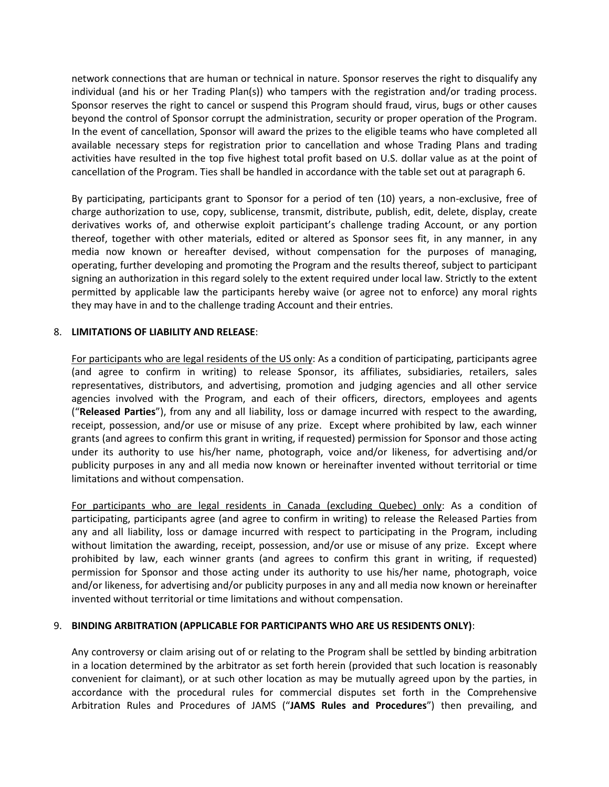network connections that are human or technical in nature. Sponsor reserves the right to disqualify any individual (and his or her Trading Plan(s)) who tampers with the registration and/or trading process. Sponsor reserves the right to cancel or suspend this Program should fraud, virus, bugs or other causes beyond the control of Sponsor corrupt the administration, security or proper operation of the Program. In the event of cancellation, Sponsor will award the prizes to the eligible teams who have completed all available necessary steps for registration prior to cancellation and whose Trading Plans and trading activities have resulted in the top five highest total profit based on U.S. dollar value as at the point of cancellation of the Program. Ties shall be handled in accordance with the table set out at paragraph 6.

By participating, participants grant to Sponsor for a period of ten (10) years, a non-exclusive, free of charge authorization to use, copy, sublicense, transmit, distribute, publish, edit, delete, display, create derivatives works of, and otherwise exploit participant's challenge trading Account, or any portion thereof, together with other materials, edited or altered as Sponsor sees fit, in any manner, in any media now known or hereafter devised, without compensation for the purposes of managing, operating, further developing and promoting the Program and the results thereof, subject to participant signing an authorization in this regard solely to the extent required under local law. Strictly to the extent permitted by applicable law the participants hereby waive (or agree not to enforce) any moral rights they may have in and to the challenge trading Account and their entries.

## 8. **LIMITATIONS OF LIABILITY AND RELEASE**:

For participants who are legal residents of the US only: As a condition of participating, participants agree (and agree to confirm in writing) to release Sponsor, its affiliates, subsidiaries, retailers, sales representatives, distributors, and advertising, promotion and judging agencies and all other service agencies involved with the Program, and each of their officers, directors, employees and agents ("**Released Parties**"), from any and all liability, loss or damage incurred with respect to the awarding, receipt, possession, and/or use or misuse of any prize. Except where prohibited by law, each winner grants (and agrees to confirm this grant in writing, if requested) permission for Sponsor and those acting under its authority to use his/her name, photograph, voice and/or likeness, for advertising and/or publicity purposes in any and all media now known or hereinafter invented without territorial or time limitations and without compensation.

For participants who are legal residents in Canada (excluding Quebec) only: As a condition of participating, participants agree (and agree to confirm in writing) to release the Released Parties from any and all liability, loss or damage incurred with respect to participating in the Program, including without limitation the awarding, receipt, possession, and/or use or misuse of any prize. Except where prohibited by law, each winner grants (and agrees to confirm this grant in writing, if requested) permission for Sponsor and those acting under its authority to use his/her name, photograph, voice and/or likeness, for advertising and/or publicity purposes in any and all media now known or hereinafter invented without territorial or time limitations and without compensation.

#### 9. **BINDING ARBITRATION (APPLICABLE FOR PARTICIPANTS WHO ARE US RESIDENTS ONLY)**:

Any controversy or claim arising out of or relating to the Program shall be settled by binding arbitration in a location determined by the arbitrator as set forth herein (provided that such location is reasonably convenient for claimant), or at such other location as may be mutually agreed upon by the parties, in accordance with the procedural rules for commercial disputes set forth in the Comprehensive Arbitration Rules and Procedures of JAMS ("**JAMS Rules and Procedures**") then prevailing, and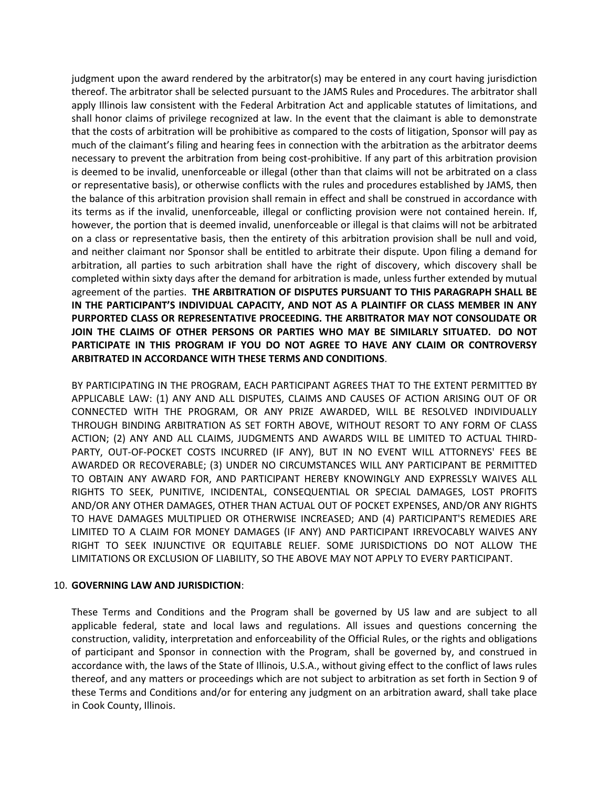judgment upon the award rendered by the arbitrator(s) may be entered in any court having jurisdiction thereof. The arbitrator shall be selected pursuant to the JAMS Rules and Procedures. The arbitrator shall apply Illinois law consistent with the Federal Arbitration Act and applicable statutes of limitations, and shall honor claims of privilege recognized at law. In the event that the claimant is able to demonstrate that the costs of arbitration will be prohibitive as compared to the costs of litigation, Sponsor will pay as much of the claimant's filing and hearing fees in connection with the arbitration as the arbitrator deems necessary to prevent the arbitration from being cost-prohibitive. If any part of this arbitration provision is deemed to be invalid, unenforceable or illegal (other than that claims will not be arbitrated on a class or representative basis), or otherwise conflicts with the rules and procedures established by JAMS, then the balance of this arbitration provision shall remain in effect and shall be construed in accordance with its terms as if the invalid, unenforceable, illegal or conflicting provision were not contained herein. If, however, the portion that is deemed invalid, unenforceable or illegal is that claims will not be arbitrated on a class or representative basis, then the entirety of this arbitration provision shall be null and void, and neither claimant nor Sponsor shall be entitled to arbitrate their dispute. Upon filing a demand for arbitration, all parties to such arbitration shall have the right of discovery, which discovery shall be completed within sixty days after the demand for arbitration is made, unless further extended by mutual agreement of the parties. **THE ARBITRATION OF DISPUTES PURSUANT TO THIS PARAGRAPH SHALL BE IN THE PARTICIPANT'S INDIVIDUAL CAPACITY, AND NOT AS A PLAINTIFF OR CLASS MEMBER IN ANY PURPORTED CLASS OR REPRESENTATIVE PROCEEDING. THE ARBITRATOR MAY NOT CONSOLIDATE OR JOIN THE CLAIMS OF OTHER PERSONS OR PARTIES WHO MAY BE SIMILARLY SITUATED. DO NOT PARTICIPATE IN THIS PROGRAM IF YOU DO NOT AGREE TO HAVE ANY CLAIM OR CONTROVERSY ARBITRATED IN ACCORDANCE WITH THESE TERMS AND CONDITIONS**.

BY PARTICIPATING IN THE PROGRAM, EACH PARTICIPANT AGREES THAT TO THE EXTENT PERMITTED BY APPLICABLE LAW: (1) ANY AND ALL DISPUTES, CLAIMS AND CAUSES OF ACTION ARISING OUT OF OR CONNECTED WITH THE PROGRAM, OR ANY PRIZE AWARDED, WILL BE RESOLVED INDIVIDUALLY THROUGH BINDING ARBITRATION AS SET FORTH ABOVE, WITHOUT RESORT TO ANY FORM OF CLASS ACTION; (2) ANY AND ALL CLAIMS, JUDGMENTS AND AWARDS WILL BE LIMITED TO ACTUAL THIRD-PARTY, OUT-OF-POCKET COSTS INCURRED (IF ANY), BUT IN NO EVENT WILL ATTORNEYS' FEES BE AWARDED OR RECOVERABLE; (3) UNDER NO CIRCUMSTANCES WILL ANY PARTICIPANT BE PERMITTED TO OBTAIN ANY AWARD FOR, AND PARTICIPANT HEREBY KNOWINGLY AND EXPRESSLY WAIVES ALL RIGHTS TO SEEK, PUNITIVE, INCIDENTAL, CONSEQUENTIAL OR SPECIAL DAMAGES, LOST PROFITS AND/OR ANY OTHER DAMAGES, OTHER THAN ACTUAL OUT OF POCKET EXPENSES, AND/OR ANY RIGHTS TO HAVE DAMAGES MULTIPLIED OR OTHERWISE INCREASED; AND (4) PARTICIPANT'S REMEDIES ARE LIMITED TO A CLAIM FOR MONEY DAMAGES (IF ANY) AND PARTICIPANT IRREVOCABLY WAIVES ANY RIGHT TO SEEK INJUNCTIVE OR EQUITABLE RELIEF. SOME JURISDICTIONS DO NOT ALLOW THE LIMITATIONS OR EXCLUSION OF LIABILITY, SO THE ABOVE MAY NOT APPLY TO EVERY PARTICIPANT.

## 10. **GOVERNING LAW AND JURISDICTION**:

These Terms and Conditions and the Program shall be governed by US law and are subject to all applicable federal, state and local laws and regulations. All issues and questions concerning the construction, validity, interpretation and enforceability of the Official Rules, or the rights and obligations of participant and Sponsor in connection with the Program, shall be governed by, and construed in accordance with, the laws of the State of Illinois, U.S.A., without giving effect to the conflict of laws rules thereof, and any matters or proceedings which are not subject to arbitration as set forth in Section 9 of these Terms and Conditions and/or for entering any judgment on an arbitration award, shall take place in Cook County, Illinois.